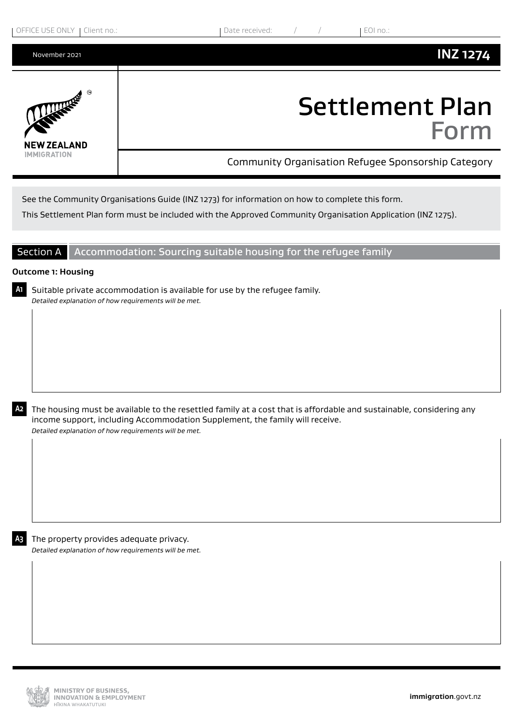

See the Community Organisations Guide (INZ 1273) for information on how to complete this form.

This Settlement Plan form must be included with the Approved Community Organisation Application (INZ 1275).

## Section A Accommodation: Sourcing suitable housing for the refugee family

## **Outcome 1: Housing**

**A1** Suitable private accommodation is available for use by the refugee family. *Detailed explanation of how requirements will be met.*

**A2** The housing must be available to the resettled family at a cost that is affordable and sustainable, considering any income support, including Accommodation Supplement, the family will receive. *Detailed explanation of how requirements will be met.*

**A3** The property provides adequate privacy. *Detailed explanation of how requirements will be met.*

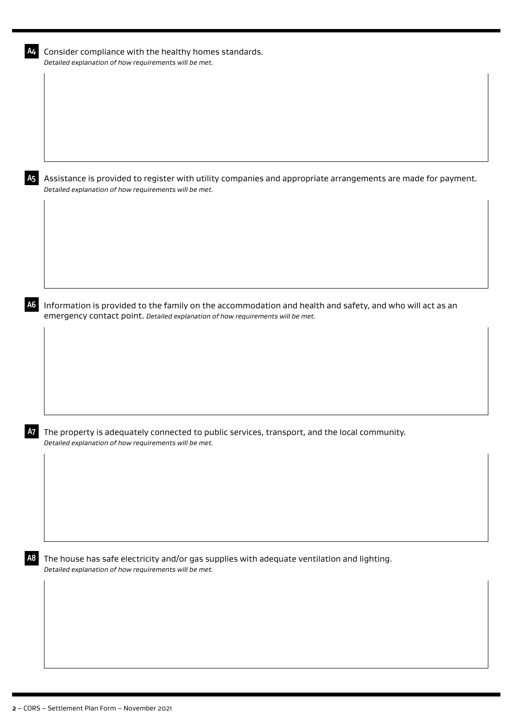| A4             | Consider compliance with the healthy homes standards.<br>Detailed explanation of how requirements will be met.                                                                             |
|----------------|--------------------------------------------------------------------------------------------------------------------------------------------------------------------------------------------|
|                |                                                                                                                                                                                            |
|                |                                                                                                                                                                                            |
|                |                                                                                                                                                                                            |
|                |                                                                                                                                                                                            |
| A <sub>5</sub> | Assistance is provided to register with utility companies and appropriate arrangements are made for payment.<br>Detailed explanation of how requirements will be met.                      |
|                |                                                                                                                                                                                            |
|                |                                                                                                                                                                                            |
|                |                                                                                                                                                                                            |
|                |                                                                                                                                                                                            |
| A <sub>6</sub> | Information is provided to the family on the accommodation and health and safety, and who will act as an<br>emergency contact point. Detailed explanation of how requirements will be met. |
|                |                                                                                                                                                                                            |
|                |                                                                                                                                                                                            |
|                |                                                                                                                                                                                            |
|                |                                                                                                                                                                                            |
| <b>A7</b>      | The property is adequately connected to public services, transport, and the local community.<br>Detailed explanation of how requirements will be met.                                      |
|                |                                                                                                                                                                                            |
|                |                                                                                                                                                                                            |
|                |                                                                                                                                                                                            |
| A8             | The house has safe electricity and/or gas supplies with adequate ventilation and lighting.                                                                                                 |
|                | Detailed explanation of how requirements will be met.                                                                                                                                      |
|                |                                                                                                                                                                                            |
|                |                                                                                                                                                                                            |
|                |                                                                                                                                                                                            |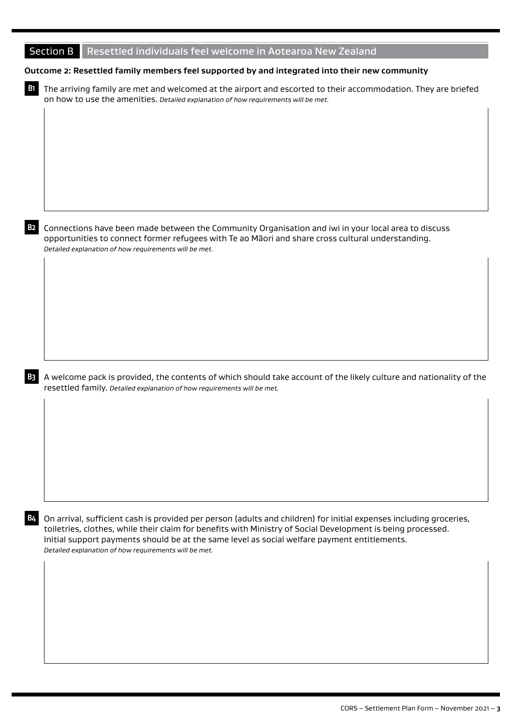| Section B Resettled individuals feel welcome in Aotearoa New Zealand |  |
|----------------------------------------------------------------------|--|
|----------------------------------------------------------------------|--|

## **Outcome 2: Resettled family members feel supported by and integrated into their new community**

**B1** The arriving family are met and welcomed at the airport and escorted to their accommodation. They are briefed on how to use the amenities. *Detailed explanation of how requirements will be met.*

**B2** Connections have been made between the Community Organisation and iwi in your local area to discuss opportunities to connect former refugees with Te ao Māori and share cross cultural understanding. *Detailed explanation of how requirements will be met.*



**B3** A welcome pack is provided, the contents of which should take account of the likely culture and nationality of the resettled family. *Detailed explanation of how requirements will be met.*

**B4** On arrival, sufficient cash is provided per person (adults and children) for initial expenses including groceries, toiletries, clothes, while their claim for benefits with Ministry of Social Development is being processed. Initial support payments should be at the same level as social welfare payment entitlements. *Detailed explanation of how requirements will be met.*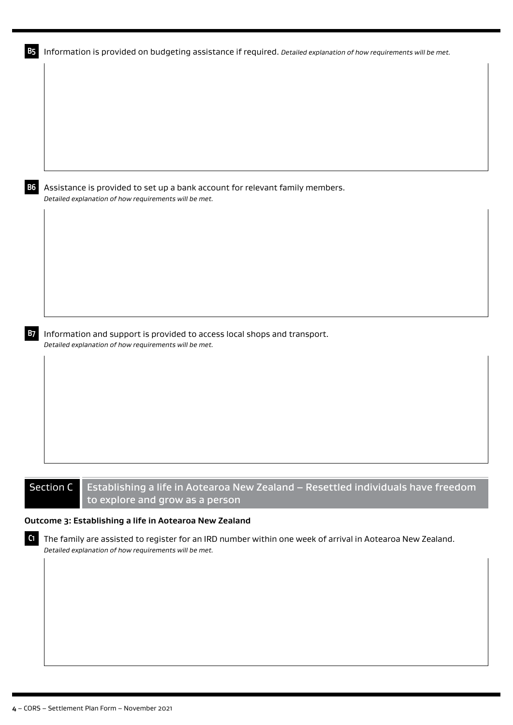| <b>B5</b> | Information is provided on budgeting assistance if required. Detailed explanation of how requirements will be met.                                                 |
|-----------|--------------------------------------------------------------------------------------------------------------------------------------------------------------------|
|           |                                                                                                                                                                    |
|           |                                                                                                                                                                    |
|           |                                                                                                                                                                    |
|           |                                                                                                                                                                    |
|           |                                                                                                                                                                    |
|           |                                                                                                                                                                    |
| <b>B6</b> | Assistance is provided to set up a bank account for relevant family members.<br>Detailed explanation of how requirements will be met.                              |
|           |                                                                                                                                                                    |
|           |                                                                                                                                                                    |
|           |                                                                                                                                                                    |
|           |                                                                                                                                                                    |
|           |                                                                                                                                                                    |
|           |                                                                                                                                                                    |
| B7        | Information and support is provided to access local shops and transport.                                                                                           |
|           | Detailed explanation of how requirements will be met.                                                                                                              |
|           |                                                                                                                                                                    |
|           |                                                                                                                                                                    |
|           |                                                                                                                                                                    |
|           |                                                                                                                                                                    |
|           |                                                                                                                                                                    |
|           |                                                                                                                                                                    |
|           | <b>Section C</b><br>Establishing a life in Aotearoa New Zealand - Resettled individuals have freedom<br>to explore and grow as a person                            |
|           | Outcome 3: Establishing a life in Aotearoa New Zealand                                                                                                             |
| C1        | The family are assisted to register for an IRD number within one week of arrival in Aotearoa New Zealand.<br>Detailed explanation of how requirements will be met. |
|           |                                                                                                                                                                    |
|           |                                                                                                                                                                    |
|           |                                                                                                                                                                    |
|           |                                                                                                                                                                    |
|           |                                                                                                                                                                    |
|           |                                                                                                                                                                    |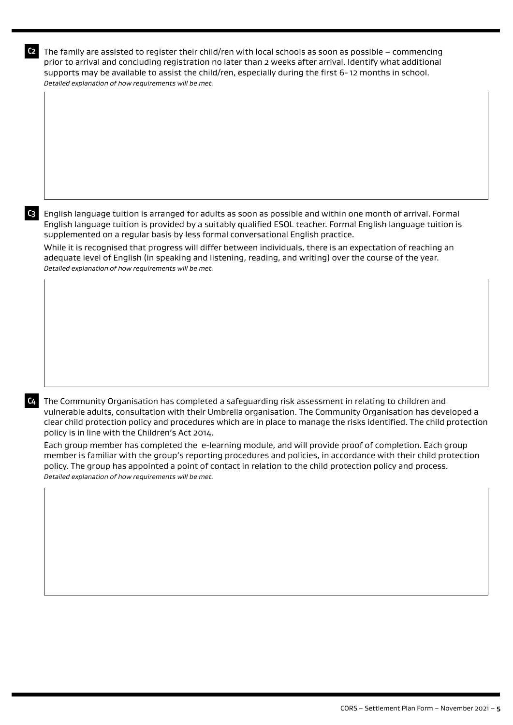**C2** The family are assisted to register their child/ren with local schools as soon as possible – commencing prior to arrival and concluding registration no later than 2 weeks after arrival. Identify what additional supports may be available to assist the child/ren, especially during the first 6- 12 months in school. *Detailed explanation of how requirements will be met.*

**C3** English language tuition is arranged for adults as soon as possible and within one month of arrival. Formal English language tuition is provided by a suitably qualified ESOL teacher. Formal English language tuition is supplemented on a regular basis by less formal conversational English practice.

While it is recognised that progress will differ between individuals, there is an expectation of reaching an adequate level of English (in speaking and listening, reading, and writing) over the course of the year. *Detailed explanation of how requirements will be met.*

**C4** The Community Organisation has completed a safeguarding risk assessment in relating to children and vulnerable adults, consultation with their Umbrella organisation. The Community Organisation has developed a clear child protection policy and procedures which are in place to manage the risks identified. The child protection policy is in line with the Children's Act 2014.

Each group member has completed the e-learning module, and will provide proof of completion. Each group member is familiar with the group's reporting procedures and policies, in accordance with their child protection policy. The group has appointed a point of contact in relation to the child protection policy and process. *Detailed explanation of how requirements will be met.*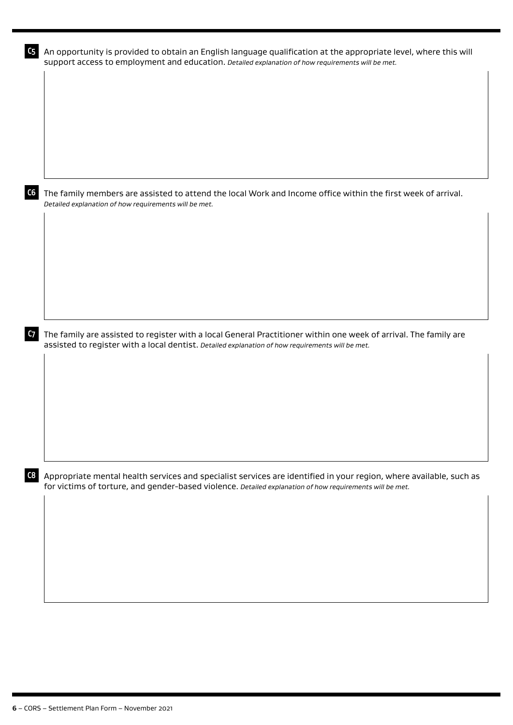| The family members are assisted to attend the local Work and Income office within the first week of arrival.<br>Detailed explanation of how requirements will be met.<br>The family are assisted to register with a local General Practitioner within one week of arrival. The family are<br>assisted to register with a local dentist. Detailed explanation of how requirements will be met.<br>Appropriate mental health services and specialist services are identified in your region, where available, such as<br>for victims of torture, and gender-based violence. Detailed explanation of how requirements will be met. | support access to employment and education. Detailed explanation of how requirements will be met. |  | An opportunity is provided to obtain an English language qualification at the appropriate level, where this will |  |
|---------------------------------------------------------------------------------------------------------------------------------------------------------------------------------------------------------------------------------------------------------------------------------------------------------------------------------------------------------------------------------------------------------------------------------------------------------------------------------------------------------------------------------------------------------------------------------------------------------------------------------|---------------------------------------------------------------------------------------------------|--|------------------------------------------------------------------------------------------------------------------|--|
|                                                                                                                                                                                                                                                                                                                                                                                                                                                                                                                                                                                                                                 |                                                                                                   |  |                                                                                                                  |  |
|                                                                                                                                                                                                                                                                                                                                                                                                                                                                                                                                                                                                                                 |                                                                                                   |  |                                                                                                                  |  |
|                                                                                                                                                                                                                                                                                                                                                                                                                                                                                                                                                                                                                                 |                                                                                                   |  |                                                                                                                  |  |
|                                                                                                                                                                                                                                                                                                                                                                                                                                                                                                                                                                                                                                 |                                                                                                   |  |                                                                                                                  |  |
|                                                                                                                                                                                                                                                                                                                                                                                                                                                                                                                                                                                                                                 |                                                                                                   |  |                                                                                                                  |  |
|                                                                                                                                                                                                                                                                                                                                                                                                                                                                                                                                                                                                                                 |                                                                                                   |  |                                                                                                                  |  |
|                                                                                                                                                                                                                                                                                                                                                                                                                                                                                                                                                                                                                                 |                                                                                                   |  |                                                                                                                  |  |
|                                                                                                                                                                                                                                                                                                                                                                                                                                                                                                                                                                                                                                 |                                                                                                   |  |                                                                                                                  |  |
|                                                                                                                                                                                                                                                                                                                                                                                                                                                                                                                                                                                                                                 |                                                                                                   |  |                                                                                                                  |  |
|                                                                                                                                                                                                                                                                                                                                                                                                                                                                                                                                                                                                                                 |                                                                                                   |  |                                                                                                                  |  |
|                                                                                                                                                                                                                                                                                                                                                                                                                                                                                                                                                                                                                                 |                                                                                                   |  |                                                                                                                  |  |
|                                                                                                                                                                                                                                                                                                                                                                                                                                                                                                                                                                                                                                 |                                                                                                   |  |                                                                                                                  |  |
|                                                                                                                                                                                                                                                                                                                                                                                                                                                                                                                                                                                                                                 |                                                                                                   |  |                                                                                                                  |  |
|                                                                                                                                                                                                                                                                                                                                                                                                                                                                                                                                                                                                                                 |                                                                                                   |  |                                                                                                                  |  |
|                                                                                                                                                                                                                                                                                                                                                                                                                                                                                                                                                                                                                                 |                                                                                                   |  |                                                                                                                  |  |
|                                                                                                                                                                                                                                                                                                                                                                                                                                                                                                                                                                                                                                 |                                                                                                   |  |                                                                                                                  |  |
|                                                                                                                                                                                                                                                                                                                                                                                                                                                                                                                                                                                                                                 |                                                                                                   |  |                                                                                                                  |  |
|                                                                                                                                                                                                                                                                                                                                                                                                                                                                                                                                                                                                                                 |                                                                                                   |  |                                                                                                                  |  |
|                                                                                                                                                                                                                                                                                                                                                                                                                                                                                                                                                                                                                                 |                                                                                                   |  |                                                                                                                  |  |
|                                                                                                                                                                                                                                                                                                                                                                                                                                                                                                                                                                                                                                 |                                                                                                   |  |                                                                                                                  |  |
|                                                                                                                                                                                                                                                                                                                                                                                                                                                                                                                                                                                                                                 |                                                                                                   |  |                                                                                                                  |  |
|                                                                                                                                                                                                                                                                                                                                                                                                                                                                                                                                                                                                                                 |                                                                                                   |  |                                                                                                                  |  |
|                                                                                                                                                                                                                                                                                                                                                                                                                                                                                                                                                                                                                                 |                                                                                                   |  |                                                                                                                  |  |
|                                                                                                                                                                                                                                                                                                                                                                                                                                                                                                                                                                                                                                 |                                                                                                   |  |                                                                                                                  |  |
|                                                                                                                                                                                                                                                                                                                                                                                                                                                                                                                                                                                                                                 |                                                                                                   |  |                                                                                                                  |  |
|                                                                                                                                                                                                                                                                                                                                                                                                                                                                                                                                                                                                                                 |                                                                                                   |  |                                                                                                                  |  |
|                                                                                                                                                                                                                                                                                                                                                                                                                                                                                                                                                                                                                                 |                                                                                                   |  |                                                                                                                  |  |
|                                                                                                                                                                                                                                                                                                                                                                                                                                                                                                                                                                                                                                 |                                                                                                   |  |                                                                                                                  |  |
|                                                                                                                                                                                                                                                                                                                                                                                                                                                                                                                                                                                                                                 |                                                                                                   |  |                                                                                                                  |  |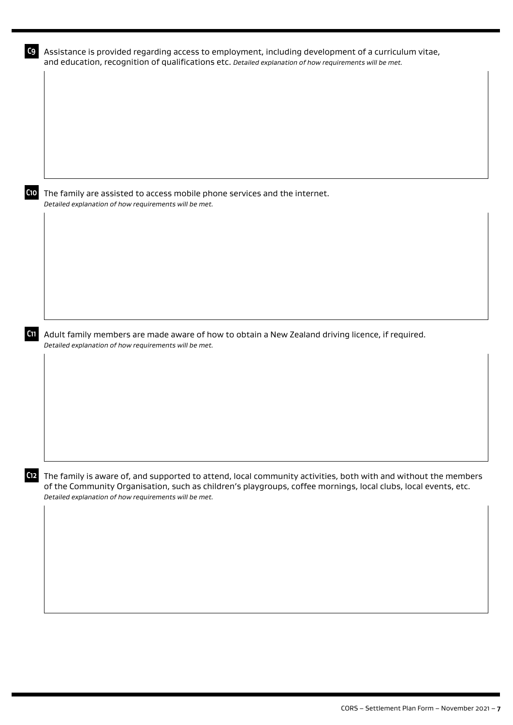| C9              | Assistance is provided regarding access to employment, including development of a curriculum vitae,<br>and education, recognition of qualifications etc. Detailed explanation of how requirements will be met.                                                                            |
|-----------------|-------------------------------------------------------------------------------------------------------------------------------------------------------------------------------------------------------------------------------------------------------------------------------------------|
|                 |                                                                                                                                                                                                                                                                                           |
|                 |                                                                                                                                                                                                                                                                                           |
|                 |                                                                                                                                                                                                                                                                                           |
|                 |                                                                                                                                                                                                                                                                                           |
| С10             | The family are assisted to access mobile phone services and the internet.<br>Detailed explanation of how requirements will be met.                                                                                                                                                        |
|                 |                                                                                                                                                                                                                                                                                           |
|                 |                                                                                                                                                                                                                                                                                           |
|                 |                                                                                                                                                                                                                                                                                           |
|                 |                                                                                                                                                                                                                                                                                           |
| C <sub>11</sub> | Adult family members are made aware of how to obtain a New Zealand driving licence, if required.<br>Detailed explanation of how requirements will be met.                                                                                                                                 |
|                 |                                                                                                                                                                                                                                                                                           |
|                 |                                                                                                                                                                                                                                                                                           |
|                 |                                                                                                                                                                                                                                                                                           |
|                 |                                                                                                                                                                                                                                                                                           |
| C <sub>12</sub> | The family is aware of, and supported to attend, local community activities, both with and without the members<br>of the Community Organisation, such as children's playgroups, coffee mornings, local clubs, local events, etc.<br>Detailed explanation of how requirements will be met. |
|                 |                                                                                                                                                                                                                                                                                           |
|                 |                                                                                                                                                                                                                                                                                           |
|                 |                                                                                                                                                                                                                                                                                           |
|                 |                                                                                                                                                                                                                                                                                           |